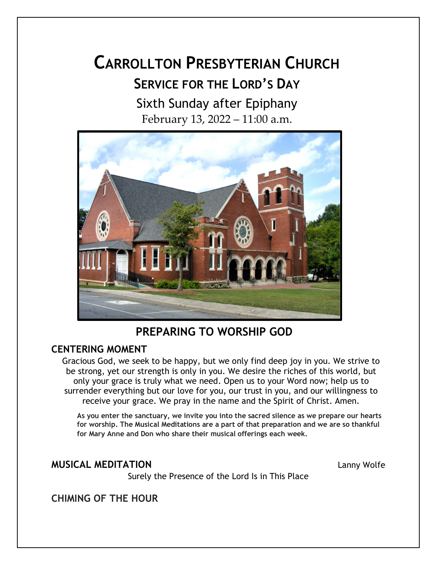# **CARROLLTON PRESBYTERIAN CHURCH SERVICE FOR THE LORD'S DAY** Sixth Sunday after Epiphany

February 13, 2022 – 11:00 a.m.



## **PREPARING TO WORSHIP GOD**

## **CENTERING MOMENT**

Gracious God, we seek to be happy, but we only find deep joy in you. We strive to be strong, yet our strength is only in you. We desire the riches of this world, but only your grace is truly what we need. Open us to your Word now; help us to surrender everything but our love for you, our trust in you, and our willingness to receive your grace. We pray in the name and the Spirit of Christ. Amen.

**As you enter the sanctuary, we invite you into the sacred silence as we prepare our hearts for worship. The Musical Meditations are a part of that preparation and we are so thankful for Mary Anne and Don who share their musical offerings each week.**

## **MUSICAL MEDITATION** Lanny Wolfe

Surely the Presence of the Lord Is in This Place

**CHIMING OF THE HOUR**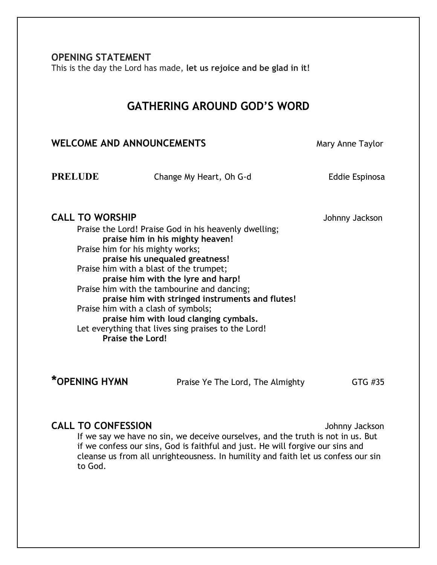**OPENING STATEMENT** 

This is the day the Lord has made, **let us rejoice and be glad in it!**

## **GATHERING AROUND GOD'S WORD**

## **WELCOME AND ANNOUNCEMENTS** Mary Anne Taylor

**PRELUDE** Change My Heart, Oh G-d Eddie Espinosa

## **CALL TO WORSHIP CALL TO WORSHIP**

Praise the Lord! Praise God in his heavenly dwelling; **praise him in his mighty heaven!** Praise him for his mighty works; **praise his unequaled greatness!** Praise him with a blast of the trumpet; **praise him with the lyre and harp!** Praise him with the tambourine and dancing; **praise him with stringed instruments and flutes!** Praise him with a clash of symbols; **praise him with loud clanging cymbals.** Let everything that lives sing praises to the Lord! **Praise the Lord!**

\*OPENING HYMN **Praise Ye The Lord, The Almighty GTG #35** 

## **CALL TO CONFESSION CALL TO CONFESSION**

If we say we have no sin, we deceive ourselves, and the truth is not in us. But if we confess our sins, God is faithful and just. He will forgive our sins and cleanse us from all unrighteousness. In humility and faith let us confess our sin to God.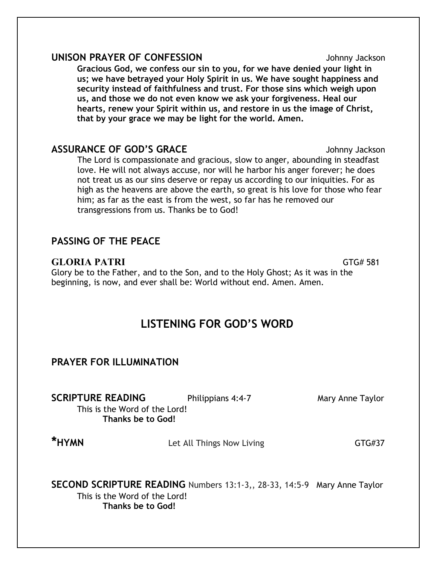### **UNISON PRAYER OF CONFESSION** Johnny Jackson

**Gracious God, we confess our sin to you, for we have denied your light in us; we have betrayed your Holy Spirit in us. We have sought happiness and security instead of faithfulness and trust. For those sins which weigh upon us, and those we do not even know we ask your forgiveness. Heal our hearts, renew your Spirit within us, and restore in us the image of Christ, that by your grace we may be light for the world. Amen.**

## **ASSURANCE OF GOD'S GRACE** *Johnny Jackson*

The Lord is compassionate and gracious, slow to anger, abounding in steadfast love. He will not always accuse, nor will he harbor his anger forever; he does not treat us as our sins deserve or repay us according to our iniquities. For as high as the heavens are above the earth, so great is his love for those who fear him; as far as the east is from the west, so far has he removed our transgressions from us. Thanks be to God!

## **PASSING OF THE PEACE**

## **GLORIA PATRI** GTG# 581

Glory be to the Father, and to the Son, and to the Holy Ghost; As it was in the beginning, is now, and ever shall be: World without end. Amen. Amen.

## **LISTENING FOR GOD'S WORD**

## **PRAYER FOR ILLUMINATION**

**SCRIPTURE READING** Philippians 4:4-7 Mary Anne Taylor

This is the Word of the Lord!

**Thanks be to God!**

**\*HYMN Let All Things Now Living CTG#37** 

**SECOND SCRIPTURE READING** Numbers 13:1-3,, 28-33, 14:5-9 Mary Anne Taylor This is the Word of the Lord! **Thanks be to God!**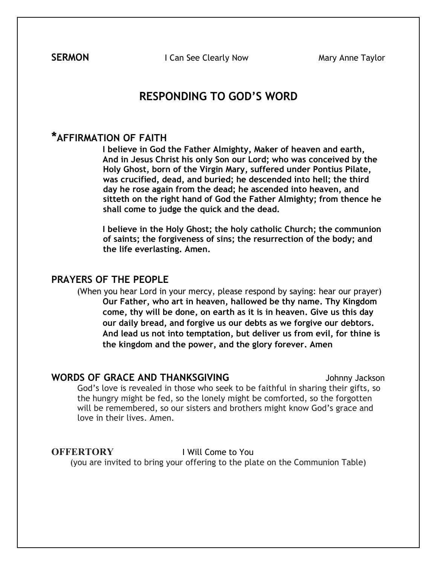**SERMON I Can See Clearly Now <b>Mary Anne Taylor** 

## **RESPONDING TO GOD'S WORD**

## **\*AFFIRMATION OF FAITH**

**I believe in God the Father Almighty, Maker of heaven and earth, And in Jesus Christ his only Son our Lord; who was conceived by the Holy Ghost, born of the Virgin Mary, suffered under Pontius Pilate, was crucified, dead, and buried; he descended into hell; the third day he rose again from the dead; he ascended into heaven, and sitteth on the right hand of God the Father Almighty; from thence he shall come to judge the quick and the dead.** 

**I believe in the Holy Ghost; the holy catholic Church; the communion of saints; the forgiveness of sins; the resurrection of the body; and the life everlasting. Amen.** 

### **PRAYERS OF THE PEOPLE**

(When you hear Lord in your mercy, please respond by saying: hear our prayer) **Our Father, who art in heaven, hallowed be thy name. Thy Kingdom come, thy will be done, on earth as it is in heaven. Give us this day our daily bread, and forgive us our debts as we forgive our debtors. And lead us not into temptation, but deliver us from evil, for thine is the kingdom and the power, and the glory forever. Amen** 

#### **WORDS OF GRACE AND THANKSGIVING State of State Service Contract AND THANKSGIVING**

God's love is revealed in those who seek to be faithful in sharing their gifts, so the hungry might be fed, so the lonely might be comforted, so the forgotten will be remembered, so our sisters and brothers might know God's grace and love in their lives. Amen.

#### **OFFERTORY** I Will Come to You

(you are invited to bring your offering to the plate on the Communion Table)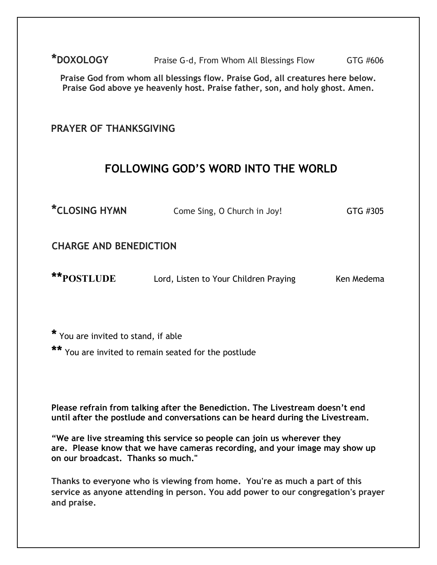**\*DOXOLOGY** Praise G-d, From Whom All Blessings Flow GTG #606

**Praise God from whom all blessings flow. Praise God, all creatures here below. Praise God above ye heavenly host. Praise father, son, and holy ghost. Amen.**

## **PRAYER OF THANKSGIVING**

## **FOLLOWING GOD'S WORD INTO THE WORLD**

**\*CLOSING HYMN** Come Sing, O Church in Joy! GTG #305

**CHARGE AND BENEDICTION** 

**\*\*POSTLUDE** Lord, Listen to Your Children PrayingKen Medema

**\*** You are invited to stand, if able

**\*\*** You are invited to remain seated for the postlude

**Please refrain from talking after the Benediction. The Livestream doesn't end until after the postlude and conversations can be heard during the Livestream.**

**"We are live streaming this service so people can join us wherever they are. Please know that we have cameras recording, and your image may show up on our broadcast. Thanks so much."**

**Thanks to everyone who is viewing from home. You're as much a part of this service as anyone attending in person. You add power to our congregation's prayer and praise.**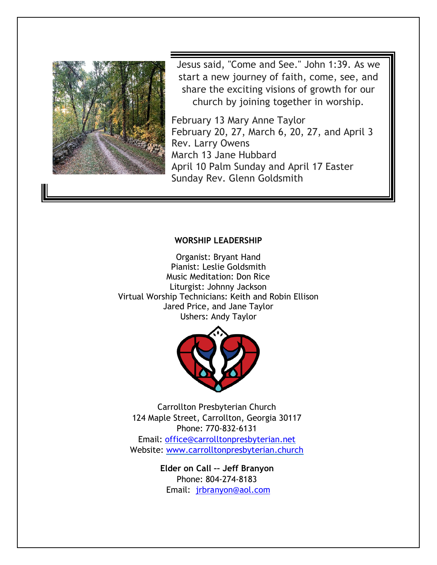

Jesus said, "Come and See." John 1:39. As we start a new journey of faith, come, see, and share the exciting visions of growth for our church by joining together in worship.

February 13 Mary Anne Taylor February 20, 27, March 6, 20, 27, and April 3 Rev. Larry Owens March 13 Jane Hubbard April 10 Palm Sunday and April 17 Easter Sunday Rev. Glenn Goldsmith

#### **WORSHIP LEADERSHIP**

Organist: Bryant Hand Pianist: Leslie Goldsmith Music Meditation: Don Rice Liturgist: Johnny Jackson Virtual Worship Technicians: Keith and Robin Ellison Jared Price, and Jane Taylor Ushers: Andy Taylor



Carrollton Presbyterian Church 124 Maple Street, Carrollton, Georgia 30117 Phone: 770-832-6131 Email: office@carrolltonpresbyterian.net Website: www.carrolltonpresbyterian.church

> **Elder on Call –– Jeff Branyon** Phone: 804-274-8183 Email: jrbranyon@aol.com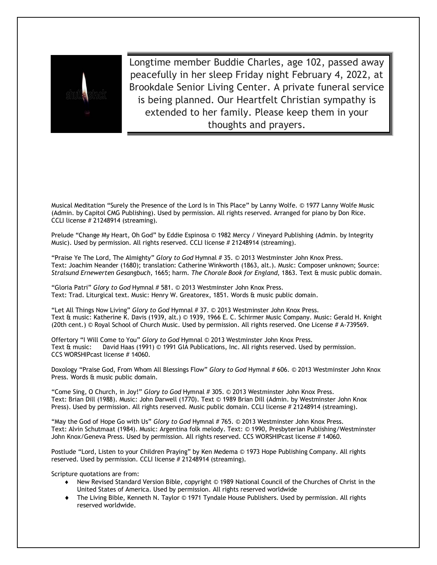

Longtime member Buddie Charles, age 102, passed away peacefully in her sleep Friday night February 4, 2022, at Brookdale Senior Living Center. A private funeral service is being planned. Our Heartfelt Christian sympathy is extended to her family. Please keep them in your thoughts and prayers.

Musical Meditation "Surely the Presence of the Lord Is in This Place" by Lanny Wolfe. © 1977 Lanny Wolfe Music (Admin. by Capitol CMG Publishing). Used by permission. All rights reserved. Arranged for piano by Don Rice. CCLI license # 21248914 (streaming).

Prelude "Change My Heart, Oh God" by Eddie Espinosa © 1982 Mercy / Vineyard Publishing (Admin. by Integrity Music). Used by permission. All rights reserved. CCLI license # 21248914 (streaming).

"Praise Ye The Lord, The Almighty" *Glory to God* Hymnal # 35. © 2013 Westminster John Knox Press. Text: Joachim Neander (1680); translation: Catherine Winkworth (1863, alt.). Music: Composer unknown; Source: *Stralsund Ernewerten Gesangbuch*, 1665; harm. *The Chorale Book for England*, 1863. Text & music public domain.

"Gloria Patri" *Glory to God* Hymnal # 581. © 2013 Westminster John Knox Press. Text: Trad. Liturgical text. Music: Henry W. Greatorex, 1851. Words & music public domain.

"Let All Things Now Living" *Glory to God* Hymnal # 37. © 2013 Westminster John Knox Press. Text & music: Katherine K. Davis (1939, alt.) © 1939, 1966 E. C. Schirmer Music Company. Music: Gerald H. Knight (20th cent.) © Royal School of Church Music. Used by permission. All rights reserved. One License # A-739569.

Offertory "I Will Come to You" *Glory to God* Hymnal © 2013 Westminster John Knox Press. Text & music: David Haas (1991) © 1991 GIA Publications, Inc. All rights reserved. Used by permission. CCS WORSHIPcast license # 14060.

Doxology "Praise God, From Whom All Blessings Flow" *Glory to God* Hymnal # 606. © 2013 Westminster John Knox Press. Words & music public domain.

"Come Sing, O Church, in Joy!" *Glory to God* Hymnal # 305. © 2013 Westminster John Knox Press. Text: Brian Dill (1988). Music: John Darwell (1770). Text © 1989 Brian Dill (Admin. by Westminster John Knox Press). Used by permission. All rights reserved. Music public domain. CCLI license # 21248914 (streaming).

"May the God of Hope Go with Us" *Glory to God* Hymnal # 765. © 2013 Westminster John Knox Press. Text: Alvin Schutmaat (1984). Music: Argentina folk melody. Text: © 1990, Presbyterian Publishing/Westminster John Knox/Geneva Press. Used by permission. All rights reserved. CCS WORSHIPcast license # 14060.

Postlude "Lord, Listen to your Children Praying" by Ken Medema © 1973 Hope Publishing Company. All rights reserved. Used by permission. CCLI license # 21248914 (streaming).

Scripture quotations are from:

- ¨ New Revised Standard Version Bible, copyright © 1989 National Council of the Churches of Christ in the United States of America. Used by permission. All rights reserved worldwide
- ¨ The Living Bible, Kenneth N. Taylor © 1971 Tyndale House Publishers. Used by permission. All rights reserved worldwide.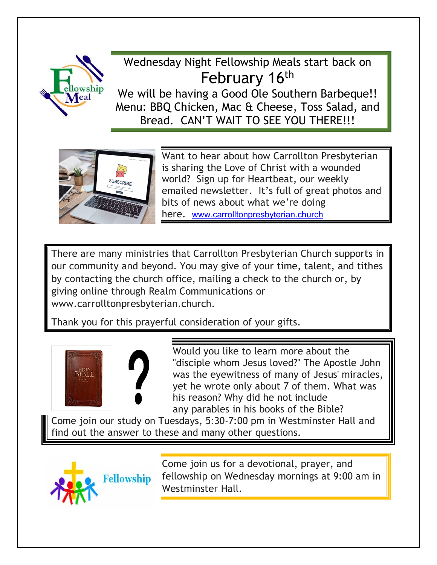

# Wednesday Night Fellowship Meals start back on February 16<sup>th</sup>

We will be having a Good Ole Southern Barbeque!! Menu: BBQ Chicken, Mac & Cheese, Toss Salad, and Bread. CAN'T WAIT TO SEE YOU THERE!!!



Want to hear about how Carrollton Presbyterian is sharing the Love of Christ with a wounded world? Sign up for Heartbeat, our weekly emailed newsletter. It's full of great photos and bits of news about what we're doing here. www.carrolltonpresbyterian.church

There are many ministries that Carrollton Presbyterian Church supports in our community and beyond. You may give of your time, talent, and tithes by contacting the church office, mailing a check to the church or, by giving online through Realm Communications or www.carrolltonpresbyterian.church.

Thank you for this prayerful consideration of your gifts.



Would you like to learn more about the "disciple whom Jesus loved?" The Apostle John was the eyewitness of many of Jesus' miracles, yet he wrote only about 7 of them. What was his reason? Why did he not include any parables in his books of the Bible?

Come join our study on Tuesdays, 5:30-7:00 pm in Westminster Hall and find out the answer to these and many other questions.



Come join us for a devotional, prayer, and fellowship on Wednesday mornings at 9:00 am in Westminster Hall.